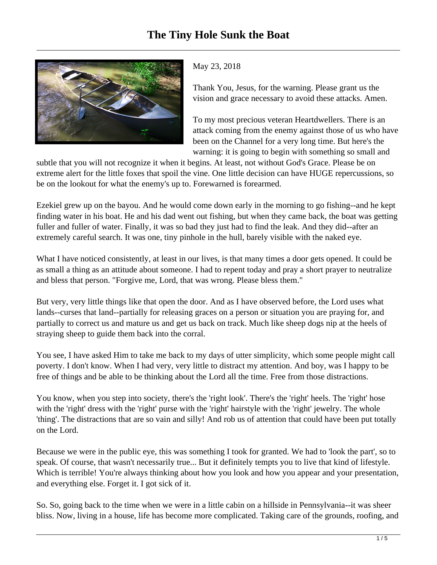

## May 23, 2018

Thank You, Jesus, for the warning. Please grant us the vision and grace necessary to avoid these attacks. Amen.

To my most precious veteran Heartdwellers. There is an attack coming from the enemy against those of us who have been on the Channel for a very long time. But here's the warning: it is going to begin with something so small and

subtle that you will not recognize it when it begins. At least, not without God's Grace. Please be on extreme alert for the little foxes that spoil the vine. One little decision can have HUGE repercussions, so be on the lookout for what the enemy's up to. Forewarned is forearmed.

Ezekiel grew up on the bayou. And he would come down early in the morning to go fishing--and he kept finding water in his boat. He and his dad went out fishing, but when they came back, the boat was getting fuller and fuller of water. Finally, it was so bad they just had to find the leak. And they did--after an extremely careful search. It was one, tiny pinhole in the hull, barely visible with the naked eye.

What I have noticed consistently, at least in our lives, is that many times a door gets opened. It could be as small a thing as an attitude about someone. I had to repent today and pray a short prayer to neutralize and bless that person. "Forgive me, Lord, that was wrong. Please bless them."

But very, very little things like that open the door. And as I have observed before, the Lord uses what lands--curses that land--partially for releasing graces on a person or situation you are praying for, and partially to correct us and mature us and get us back on track. Much like sheep dogs nip at the heels of straying sheep to guide them back into the corral.

You see, I have asked Him to take me back to my days of utter simplicity, which some people might call poverty. I don't know. When I had very, very little to distract my attention. And boy, was I happy to be free of things and be able to be thinking about the Lord all the time. Free from those distractions.

You know, when you step into society, there's the 'right look'. There's the 'right' heels. The 'right' hose with the 'right' dress with the 'right' purse with the 'right' hairstyle with the 'right' jewelry. The whole 'thing'. The distractions that are so vain and silly! And rob us of attention that could have been put totally on the Lord.

Because we were in the public eye, this was something I took for granted. We had to 'look the part', so to speak. Of course, that wasn't necessarily true... But it definitely tempts you to live that kind of lifestyle. Which is terrible! You're always thinking about how you look and how you appear and your presentation, and everything else. Forget it. I got sick of it.

So. So, going back to the time when we were in a little cabin on a hillside in Pennsylvania--it was sheer bliss. Now, living in a house, life has become more complicated. Taking care of the grounds, roofing, and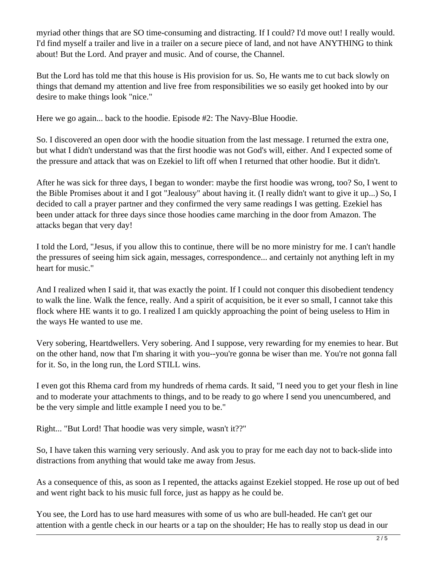myriad other things that are SO time-consuming and distracting. If I could? I'd move out! I really would. I'd find myself a trailer and live in a trailer on a secure piece of land, and not have ANYTHING to think about! But the Lord. And prayer and music. And of course, the Channel.

But the Lord has told me that this house is His provision for us. So, He wants me to cut back slowly on things that demand my attention and live free from responsibilities we so easily get hooked into by our desire to make things look "nice."

Here we go again... back to the hoodie. Episode #2: The Navy-Blue Hoodie.

So. I discovered an open door with the hoodie situation from the last message. I returned the extra one, but what I didn't understand was that the first hoodie was not God's will, either. And I expected some of the pressure and attack that was on Ezekiel to lift off when I returned that other hoodie. But it didn't.

After he was sick for three days, I began to wonder: maybe the first hoodie was wrong, too? So, I went to the Bible Promises about it and I got "Jealousy" about having it. (I really didn't want to give it up...) So, I decided to call a prayer partner and they confirmed the very same readings I was getting. Ezekiel has been under attack for three days since those hoodies came marching in the door from Amazon. The attacks began that very day!

I told the Lord, "Jesus, if you allow this to continue, there will be no more ministry for me. I can't handle the pressures of seeing him sick again, messages, correspondence... and certainly not anything left in my heart for music."

And I realized when I said it, that was exactly the point. If I could not conquer this disobedient tendency to walk the line. Walk the fence, really. And a spirit of acquisition, be it ever so small, I cannot take this flock where HE wants it to go. I realized I am quickly approaching the point of being useless to Him in the ways He wanted to use me.

Very sobering, Heartdwellers. Very sobering. And I suppose, very rewarding for my enemies to hear. But on the other hand, now that I'm sharing it with you--you're gonna be wiser than me. You're not gonna fall for it. So, in the long run, the Lord STILL wins.

I even got this Rhema card from my hundreds of rhema cards. It said, "I need you to get your flesh in line and to moderate your attachments to things, and to be ready to go where I send you unencumbered, and be the very simple and little example I need you to be."

Right... "But Lord! That hoodie was very simple, wasn't it??"

So, I have taken this warning very seriously. And ask you to pray for me each day not to back-slide into distractions from anything that would take me away from Jesus.

As a consequence of this, as soon as I repented, the attacks against Ezekiel stopped. He rose up out of bed and went right back to his music full force, just as happy as he could be.

You see, the Lord has to use hard measures with some of us who are bull-headed. He can't get our attention with a gentle check in our hearts or a tap on the shoulder; He has to really stop us dead in our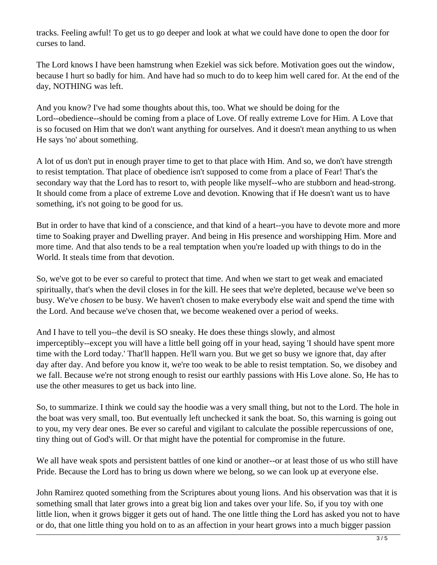tracks. Feeling awful! To get us to go deeper and look at what we could have done to open the door for curses to land.

The Lord knows I have been hamstrung when Ezekiel was sick before. Motivation goes out the window, because I hurt so badly for him. And have had so much to do to keep him well cared for. At the end of the day, NOTHING was left.

And you know? I've had some thoughts about this, too. What we should be doing for the Lord--obedience--should be coming from a place of Love. Of really extreme Love for Him. A Love that is so focused on Him that we don't want anything for ourselves. And it doesn't mean anything to us when He says 'no' about something.

A lot of us don't put in enough prayer time to get to that place with Him. And so, we don't have strength to resist temptation. That place of obedience isn't supposed to come from a place of Fear! That's the secondary way that the Lord has to resort to, with people like myself--who are stubborn and head-strong. It should come from a place of extreme Love and devotion. Knowing that if He doesn't want us to have something, it's not going to be good for us.

But in order to have that kind of a conscience, and that kind of a heart--you have to devote more and more time to Soaking prayer and Dwelling prayer. And being in His presence and worshipping Him. More and more time. And that also tends to be a real temptation when you're loaded up with things to do in the World. It steals time from that devotion.

So, we've got to be ever so careful to protect that time. And when we start to get weak and emaciated spiritually, that's when the devil closes in for the kill. He sees that we're depleted, because we've been so busy. We've *chosen* to be busy. We haven't chosen to make everybody else wait and spend the time with the Lord. And because we've chosen that, we become weakened over a period of weeks.

And I have to tell you--the devil is SO sneaky. He does these things slowly, and almost imperceptibly--except you will have a little bell going off in your head, saying 'I should have spent more time with the Lord today.' That'll happen. He'll warn you. But we get so busy we ignore that, day after day after day. And before you know it, we're too weak to be able to resist temptation. So, we disobey and we fall. Because we're not strong enough to resist our earthly passions with His Love alone. So, He has to use the other measures to get us back into line.

So, to summarize. I think we could say the hoodie was a very small thing, but not to the Lord. The hole in the boat was very small, too. But eventually left unchecked it sank the boat. So, this warning is going out to you, my very dear ones. Be ever so careful and vigilant to calculate the possible repercussions of one, tiny thing out of God's will. Or that might have the potential for compromise in the future.

We all have weak spots and persistent battles of one kind or another--or at least those of us who still have Pride. Because the Lord has to bring us down where we belong, so we can look up at everyone else.

John Ramirez quoted something from the Scriptures about young lions. And his observation was that it is something small that later grows into a great big lion and takes over your life. So, if you toy with one little lion, when it grows bigger it gets out of hand. The one little thing the Lord has asked you not to have or do, that one little thing you hold on to as an affection in your heart grows into a much bigger passion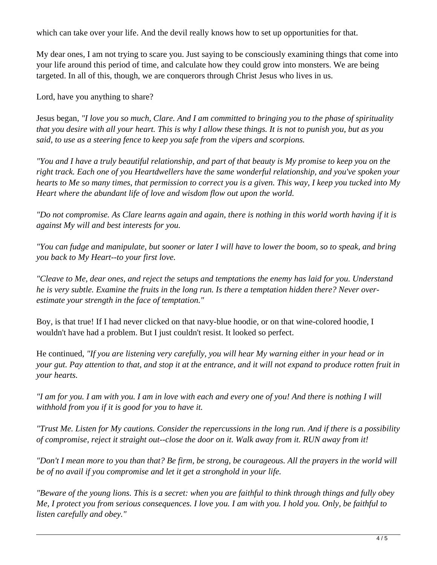which can take over your life. And the devil really knows how to set up opportunities for that.

My dear ones, I am not trying to scare you. Just saying to be consciously examining things that come into your life around this period of time, and calculate how they could grow into monsters. We are being targeted. In all of this, though, we are conquerors through Christ Jesus who lives in us.

Lord, have you anything to share?

Jesus began, *"I love you so much, Clare. And I am committed to bringing you to the phase of spirituality that you desire with all your heart. This is why I allow these things. It is not to punish you, but as you said, to use as a steering fence to keep you safe from the vipers and scorpions.* 

*"You and I have a truly beautiful relationship, and part of that beauty is My promise to keep you on the right track. Each one of you Heartdwellers have the same wonderful relationship, and you've spoken your hearts to Me so many times, that permission to correct you is a given. This way, I keep you tucked into My Heart where the abundant life of love and wisdom flow out upon the world.* 

*"Do not compromise. As Clare learns again and again, there is nothing in this world worth having if it is against My will and best interests for you.*

*"You can fudge and manipulate, but sooner or later I will have to lower the boom, so to speak, and bring you back to My Heart--to your first love.* 

*"Cleave to Me, dear ones, and reject the setups and temptations the enemy has laid for you. Understand he is very subtle. Examine the fruits in the long run. Is there a temptation hidden there? Never overestimate your strength in the face of temptation."*

Boy, is that true! If I had never clicked on that navy-blue hoodie, or on that wine-colored hoodie, I wouldn't have had a problem. But I just couldn't resist. It looked so perfect.

He continued, *"If you are listening very carefully, you will hear My warning either in your head or in your gut. Pay attention to that, and stop it at the entrance, and it will not expand to produce rotten fruit in your hearts.* 

*"I am for you. I am with you. I am in love with each and every one of you! And there is nothing I will withhold from you if it is good for you to have it.* 

*"Trust Me. Listen for My cautions. Consider the repercussions in the long run. And if there is a possibility of compromise, reject it straight out--close the door on it. Walk away from it. RUN away from it!* 

*"Don't I mean more to you than that? Be firm, be strong, be courageous. All the prayers in the world will be of no avail if you compromise and let it get a stronghold in your life.* 

*"Beware of the young lions. This is a secret: when you are faithful to think through things and fully obey Me, I protect you from serious consequences. I love you. I am with you. I hold you. Only, be faithful to listen carefully and obey."*